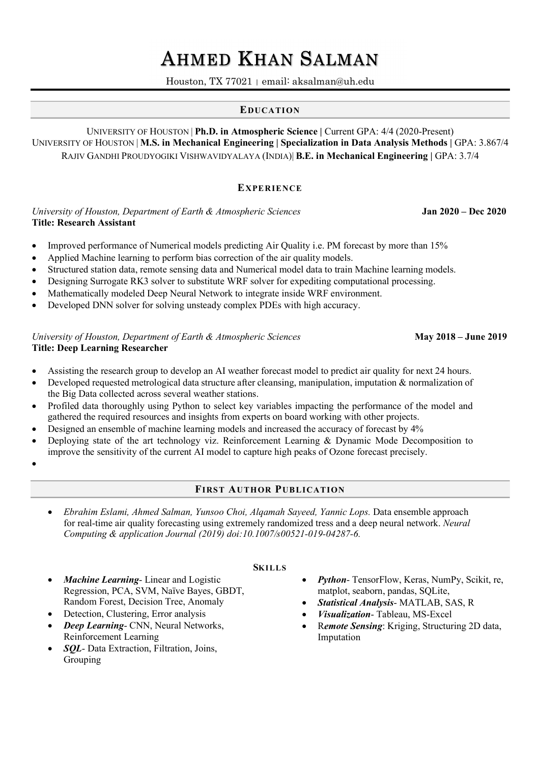# AHMED KHAN SALMAN Houston, TX 77021 | email: aksalman@uh.edu

## EDUCATION

UNIVERSITY OF HOUSTON | Ph.D. in Atmospheric Science | Current GPA: 4/4 (2020-Present) UNIVERSITY OF HOUSTON | M.S. in Mechanical Engineering | Specialization in Data Analysis Methods | GPA: 3.867/4 RAJIV GANDHI PROUDYOGIKI VISHWAVIDYALAYA (INDIA)| B.E. in Mechanical Engineering | GPA: 3.7/4

#### **EXPERIENCE**

University of Houston, Department of Earth & Atmospheric Sciences Jan 2020 – Dec 2020 Title: Research Assistant

- Improved performance of Numerical models predicting Air Quality i.e. PM forecast by more than 15%
- Applied Machine learning to perform bias correction of the air quality models.
- Structured station data, remote sensing data and Numerical model data to train Machine learning models.
- Designing Surrogate RK3 solver to substitute WRF solver for expediting computational processing.
- Mathematically modeled Deep Neural Network to integrate inside WRF environment.
- Developed DNN solver for solving unsteady complex PDEs with high accuracy.

#### University of Houston, Department of Earth & Atmospheric Sciences May 2018 – June 2019 Title: Deep Learning Researcher

- Assisting the research group to develop an AI weather forecast model to predict air quality for next 24 hours.
- Developed requested metrological data structure after cleansing, manipulation, imputation & normalization of the Big Data collected across several weather stations.
- Profiled data thoroughly using Python to select key variables impacting the performance of the model and gathered the required resources and insights from experts on board working with other projects.
- Designed an ensemble of machine learning models and increased the accuracy of forecast by 4%
- Deploying state of the art technology viz. Reinforcement Learning & Dynamic Mode Decomposition to improve the sensitivity of the current AI model to capture high peaks of Ozone forecast precisely.
- $\bullet$  and  $\bullet$  and  $\bullet$  and  $\bullet$  and  $\bullet$  and  $\bullet$

## FIRST AUTHOR PUBLICATION

**SKILLS** 

 Ebrahim Eslami, Ahmed Salman, Yunsoo Choi, Alqamah Sayeed, Yannic Lops. Data ensemble approach for real-time air quality forecasting using extremely randomized tress and a deep neural network. Neural Computing & application Journal (2019) doi:10.1007/s00521-019-04287-6.

## Machine Learning- Linear and Logistic Regression, PCA, SVM, Naïve Bayes, GBDT,

- Random Forest, Decision Tree, Anomaly
- Detection, Clustering, Error analysis
- Deep Learning- CNN, Neural Networks, Reinforcement Learning
- SQL- Data Extraction, Filtration, Joins, Grouping
- Python- TensorFlow, Keras, NumPy, Scikit, re, matplot, seaborn, pandas, SQLite,
- Statistical Analysis- MATLAB, SAS, R
- Visualization- Tableau, MS-Excel
- Remote Sensing: Kriging, Structuring 2D data, Imputation